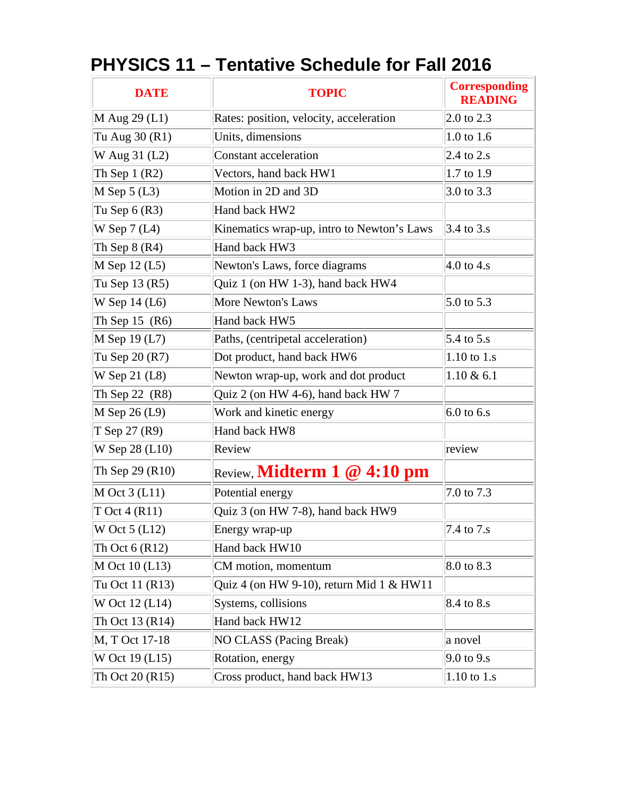| <b>DATE</b>      | <b>TOPIC</b>                               | <b>Corresponding</b><br><b>READING</b> |
|------------------|--------------------------------------------|----------------------------------------|
| $M$ Aug 29 (L1)  | Rates: position, velocity, acceleration    | 2.0 to 2.3                             |
| Tu Aug 30 (R1)   | Units, dimensions                          | 1.0 to 1.6                             |
| W Aug 31 (L2)    | Constant acceleration                      | 2.4 to $2 \text{ s}$                   |
| Th Sep $1(R2)$   | Vectors, hand back HW1                     | 1.7 to 1.9                             |
| $M$ Sep 5 (L3)   | Motion in 2D and 3D                        | 3.0 to $3.3$                           |
| Tu Sep $6(R3)$   | Hand back HW2                              |                                        |
| W Sep $7(L4)$    | Kinematics wrap-up, intro to Newton's Laws | 3.4 to 3.s                             |
| Th Sep $8(R4)$   | Hand back HW3                              |                                        |
| $M$ Sep 12 (L5)  | Newton's Laws, force diagrams              | $4.0$ to 4.s                           |
| Tu Sep 13 (R5)   | Quiz 1 (on HW 1-3), hand back HW4          |                                        |
| W Sep 14 (L6)    | <b>More Newton's Laws</b>                  | 5.0 to 5.3                             |
| Th Sep 15 $(R6)$ | Hand back HW5                              |                                        |
| $M$ Sep 19 (L7)  | Paths, (centripetal acceleration)          | 5.4 to 5.s                             |
| Tu Sep 20 (R7)   | Dot product, hand back HW6                 | 1.10 to $1.s$                          |
| W Sep 21 (L8)    | Newton wrap-up, work and dot product       | $1.10 \& 6.1$                          |
| Th Sep 22 (R8)   | Quiz 2 (on HW 4-6), hand back HW 7         |                                        |
| $M$ Sep 26 (L9)  | Work and kinetic energy                    | $6.0$ to 6.s                           |
| T Sep 27 (R9)    | Hand back HW8                              |                                        |
| W Sep 28 (L10)   | Review                                     | review                                 |
| Th Sep 29 (R10)  | Review, Midterm 1 @ 4:10 pm                |                                        |
| $M$ Oct 3 (L11)  | Potential energy                           | 7.0 to 7.3                             |
| $T$ Oct 4 (R11)  | Quiz 3 (on HW 7-8), hand back HW9          |                                        |
| W Oct $5$ (L12)  | Energy wrap-up                             | 7.4 to 7.s                             |
| Th Oct $6(R12)$  | Hand back HW10                             |                                        |
| M Oct 10 (L13)   | CM motion, momentum                        | 8.0 to 8.3                             |
| Tu Oct 11 (R13)  | Quiz 4 (on HW 9-10), return Mid 1 & HW11   |                                        |
| W Oct 12 (L14)   | Systems, collisions                        | 8.4 to 8.s                             |
| Th Oct 13 (R14)  | Hand back HW12                             |                                        |
| M, T Oct 17-18   | <b>NO CLASS (Pacing Break)</b>             | a novel                                |
| W Oct 19 (L15)   | Rotation, energy                           | $9.0$ to $9.s$                         |
| Th Oct 20 (R15)  | Cross product, hand back HW13              | $1.10$ to $1.s$                        |

## **PHYSICS 11 – Tentative Schedule for Fall 2016**